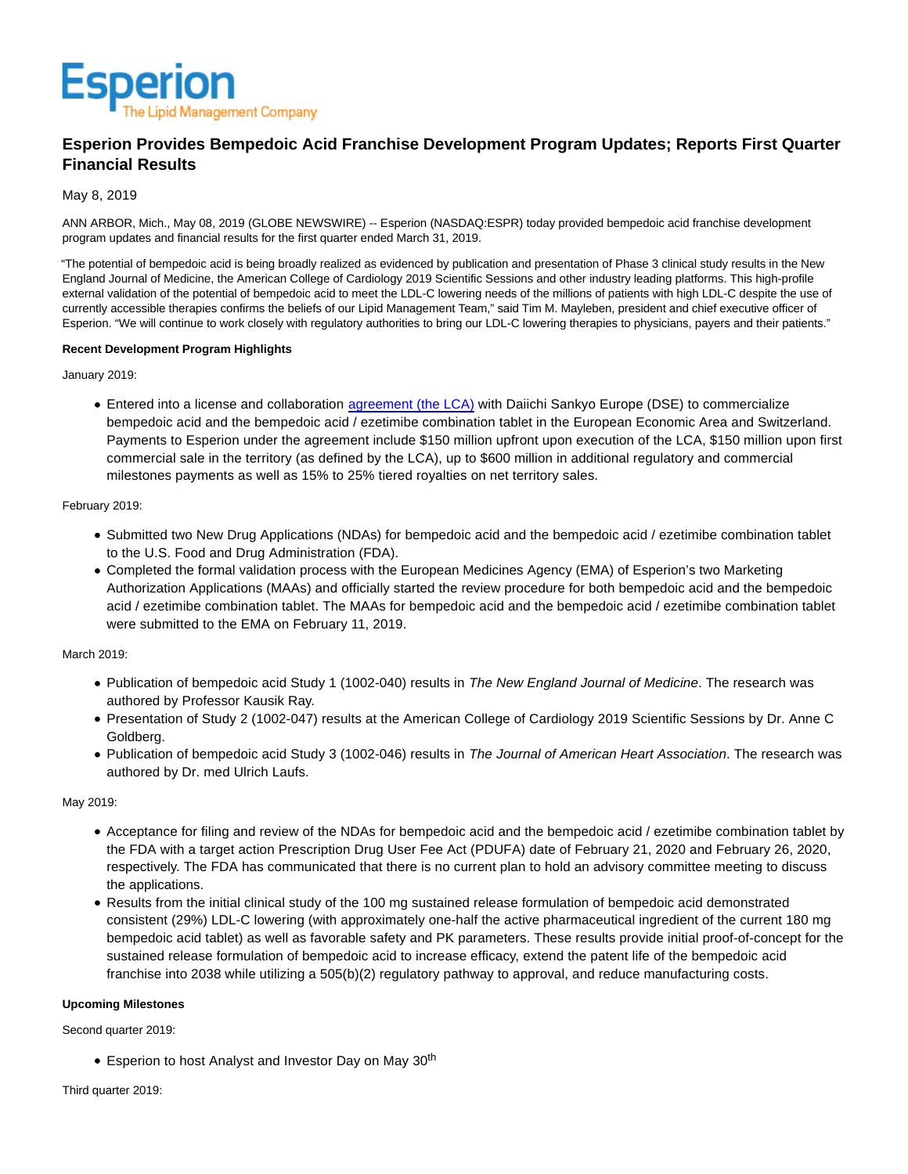

# **Esperion Provides Bempedoic Acid Franchise Development Program Updates; Reports First Quarter Financial Results**

## May 8, 2019

ANN ARBOR, Mich., May 08, 2019 (GLOBE NEWSWIRE) -- Esperion (NASDAQ:ESPR) today provided bempedoic acid franchise development program updates and financial results for the first quarter ended March 31, 2019.

"The potential of bempedoic acid is being broadly realized as evidenced by publication and presentation of Phase 3 clinical study results in the New England Journal of Medicine, the American College of Cardiology 2019 Scientific Sessions and other industry leading platforms. This high-profile external validation of the potential of bempedoic acid to meet the LDL-C lowering needs of the millions of patients with high LDL-C despite the use of currently accessible therapies confirms the beliefs of our Lipid Management Team," said Tim M. Mayleben, president and chief executive officer of Esperion. "We will continue to work closely with regulatory authorities to bring our LDL-C lowering therapies to physicians, payers and their patients."

### **Recent Development Program Highlights**

January 2019:

• Entered into a license and collaboration [agreement \(the LCA\) w](https://investor.esperion.com/news-releases/news-release-details/esperion-announces-agreement-daiichi-sankyo-europe-dse)ith Daiichi Sankyo Europe (DSE) to commercialize bempedoic acid and the bempedoic acid / ezetimibe combination tablet in the European Economic Area and Switzerland. Payments to Esperion under the agreement include \$150 million upfront upon execution of the LCA, \$150 million upon first commercial sale in the territory (as defined by the LCA), up to \$600 million in additional regulatory and commercial milestones payments as well as 15% to 25% tiered royalties on net territory sales.

### February 2019:

- Submitted two New Drug Applications (NDAs) for bempedoic acid and the bempedoic acid / ezetimibe combination tablet to the U.S. Food and Drug Administration (FDA).
- Completed the formal validation process with the European Medicines Agency (EMA) of Esperion's two Marketing Authorization Applications (MAAs) and officially started the review procedure for both bempedoic acid and the bempedoic acid / ezetimibe combination tablet. The MAAs for bempedoic acid and the bempedoic acid / ezetimibe combination tablet were submitted to the EMA on February 11, 2019.

# March 2019:

- Publication of bempedoic acid Study 1 (1002-040) results in The New England Journal of Medicine. The research was authored by Professor Kausik Ray.
- Presentation of Study 2 (1002-047) results at the American College of Cardiology 2019 Scientific Sessions by Dr. Anne C Goldberg.
- Publication of bempedoic acid Study 3 (1002-046) results in The Journal of American Heart Association. The research was authored by Dr. med Ulrich Laufs.

# May 2019:

- Acceptance for filing and review of the NDAs for bempedoic acid and the bempedoic acid / ezetimibe combination tablet by the FDA with a target action Prescription Drug User Fee Act (PDUFA) date of February 21, 2020 and February 26, 2020, respectively. The FDA has communicated that there is no current plan to hold an advisory committee meeting to discuss the applications.
- Results from the initial clinical study of the 100 mg sustained release formulation of bempedoic acid demonstrated consistent (29%) LDL-C lowering (with approximately one-half the active pharmaceutical ingredient of the current 180 mg bempedoic acid tablet) as well as favorable safety and PK parameters. These results provide initial proof-of-concept for the sustained release formulation of bempedoic acid to increase efficacy, extend the patent life of the bempedoic acid franchise into 2038 while utilizing a 505(b)(2) regulatory pathway to approval, and reduce manufacturing costs.

### **Upcoming Milestones**

Second quarter 2019:

• Esperion to host Analyst and Investor Day on May 30<sup>th</sup>

Third quarter 2019: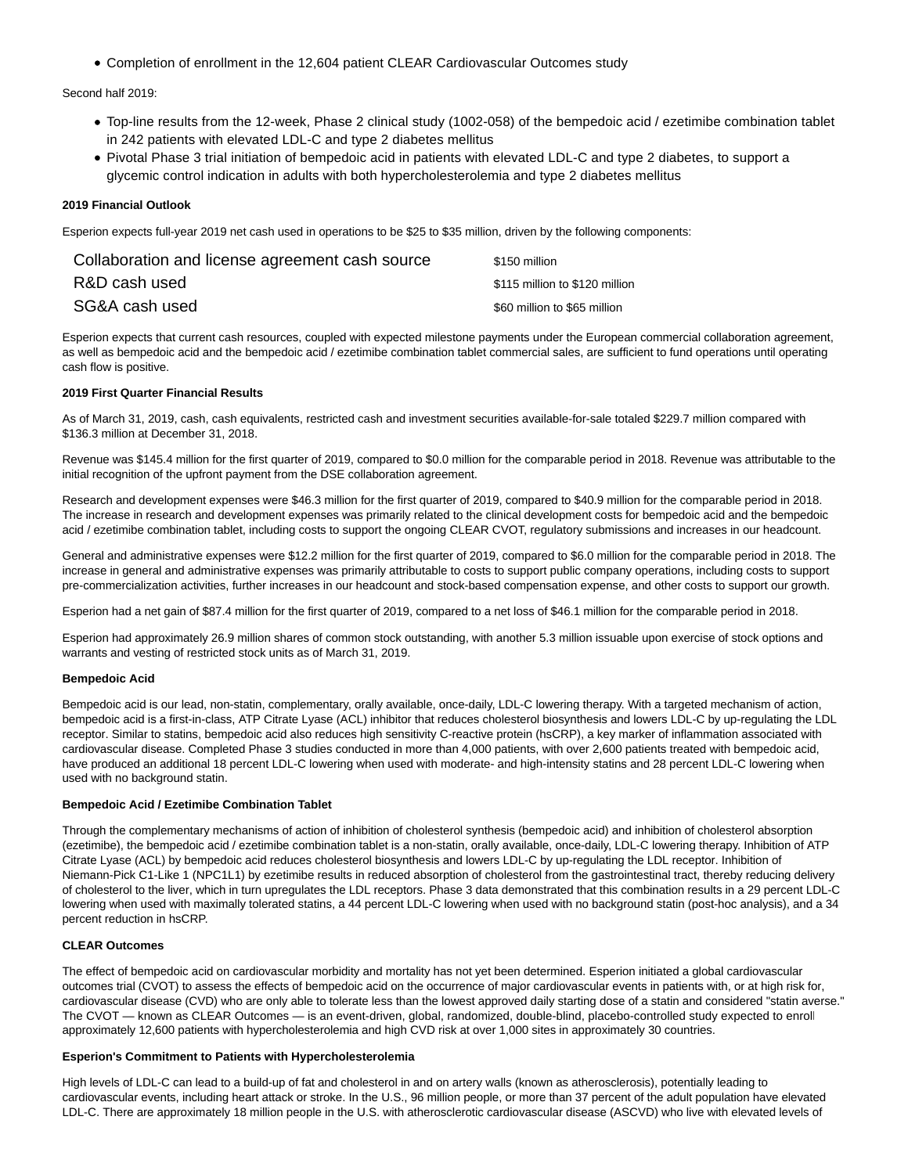Completion of enrollment in the 12,604 patient CLEAR Cardiovascular Outcomes study

Second half 2019:

- Top-line results from the 12-week, Phase 2 clinical study (1002-058) of the bempedoic acid / ezetimibe combination tablet in 242 patients with elevated LDL-C and type 2 diabetes mellitus
- Pivotal Phase 3 trial initiation of bempedoic acid in patients with elevated LDL-C and type 2 diabetes, to support a glycemic control indication in adults with both hypercholesterolemia and type 2 diabetes mellitus

### **2019 Financial Outlook**

Esperion expects full-year 2019 net cash used in operations to be \$25 to \$35 million, driven by the following components:

| Collaboration and license agreement cash source | \$150 million                  |
|-------------------------------------------------|--------------------------------|
| R&D cash used                                   | \$115 million to \$120 million |
| SG&A cash used                                  | \$60 million to \$65 million   |

Esperion expects that current cash resources, coupled with expected milestone payments under the European commercial collaboration agreement, as well as bempedoic acid and the bempedoic acid / ezetimibe combination tablet commercial sales, are sufficient to fund operations until operating cash flow is positive.

### **2019 First Quarter Financial Results**

As of March 31, 2019, cash, cash equivalents, restricted cash and investment securities available-for-sale totaled \$229.7 million compared with \$136.3 million at December 31, 2018.

Revenue was \$145.4 million for the first quarter of 2019, compared to \$0.0 million for the comparable period in 2018. Revenue was attributable to the initial recognition of the upfront payment from the DSE collaboration agreement.

Research and development expenses were \$46.3 million for the first quarter of 2019, compared to \$40.9 million for the comparable period in 2018. The increase in research and development expenses was primarily related to the clinical development costs for bempedoic acid and the bempedoic acid / ezetimibe combination tablet, including costs to support the ongoing CLEAR CVOT, regulatory submissions and increases in our headcount.

General and administrative expenses were \$12.2 million for the first quarter of 2019, compared to \$6.0 million for the comparable period in 2018. The increase in general and administrative expenses was primarily attributable to costs to support public company operations, including costs to support pre-commercialization activities, further increases in our headcount and stock-based compensation expense, and other costs to support our growth.

Esperion had a net gain of \$87.4 million for the first quarter of 2019, compared to a net loss of \$46.1 million for the comparable period in 2018.

Esperion had approximately 26.9 million shares of common stock outstanding, with another 5.3 million issuable upon exercise of stock options and warrants and vesting of restricted stock units as of March 31, 2019.

#### **Bempedoic Acid**

Bempedoic acid is our lead, non-statin, complementary, orally available, once-daily, LDL-C lowering therapy. With a targeted mechanism of action, bempedoic acid is a first-in-class, ATP Citrate Lyase (ACL) inhibitor that reduces cholesterol biosynthesis and lowers LDL-C by up-regulating the LDL receptor. Similar to statins, bempedoic acid also reduces high sensitivity C-reactive protein (hsCRP), a key marker of inflammation associated with cardiovascular disease. Completed Phase 3 studies conducted in more than 4,000 patients, with over 2,600 patients treated with bempedoic acid, have produced an additional 18 percent LDL-C lowering when used with moderate- and high-intensity statins and 28 percent LDL-C lowering when used with no background statin.

#### **Bempedoic Acid / Ezetimibe Combination Tablet**

Through the complementary mechanisms of action of inhibition of cholesterol synthesis (bempedoic acid) and inhibition of cholesterol absorption (ezetimibe), the bempedoic acid / ezetimibe combination tablet is a non-statin, orally available, once-daily, LDL-C lowering therapy. Inhibition of ATP Citrate Lyase (ACL) by bempedoic acid reduces cholesterol biosynthesis and lowers LDL-C by up-regulating the LDL receptor. Inhibition of Niemann-Pick C1-Like 1 (NPC1L1) by ezetimibe results in reduced absorption of cholesterol from the gastrointestinal tract, thereby reducing delivery of cholesterol to the liver, which in turn upregulates the LDL receptors. Phase 3 data demonstrated that this combination results in a 29 percent LDL-C lowering when used with maximally tolerated statins, a 44 percent LDL-C lowering when used with no background statin (post-hoc analysis), and a 34 percent reduction in hsCRP.

### **CLEAR Outcomes**

The effect of bempedoic acid on cardiovascular morbidity and mortality has not yet been determined. Esperion initiated a global cardiovascular outcomes trial (CVOT) to assess the effects of bempedoic acid on the occurrence of major cardiovascular events in patients with, or at high risk for, cardiovascular disease (CVD) who are only able to tolerate less than the lowest approved daily starting dose of a statin and considered "statin averse." The CVOT — known as CLEAR Outcomes — is an event-driven, global, randomized, double-blind, placebo-controlled study expected to enroll approximately 12,600 patients with hypercholesterolemia and high CVD risk at over 1,000 sites in approximately 30 countries.

#### **Esperion's Commitment to Patients with Hypercholesterolemia**

High levels of LDL-C can lead to a build-up of fat and cholesterol in and on artery walls (known as atherosclerosis), potentially leading to cardiovascular events, including heart attack or stroke. In the U.S., 96 million people, or more than 37 percent of the adult population have elevated LDL-C. There are approximately 18 million people in the U.S. with atherosclerotic cardiovascular disease (ASCVD) who live with elevated levels of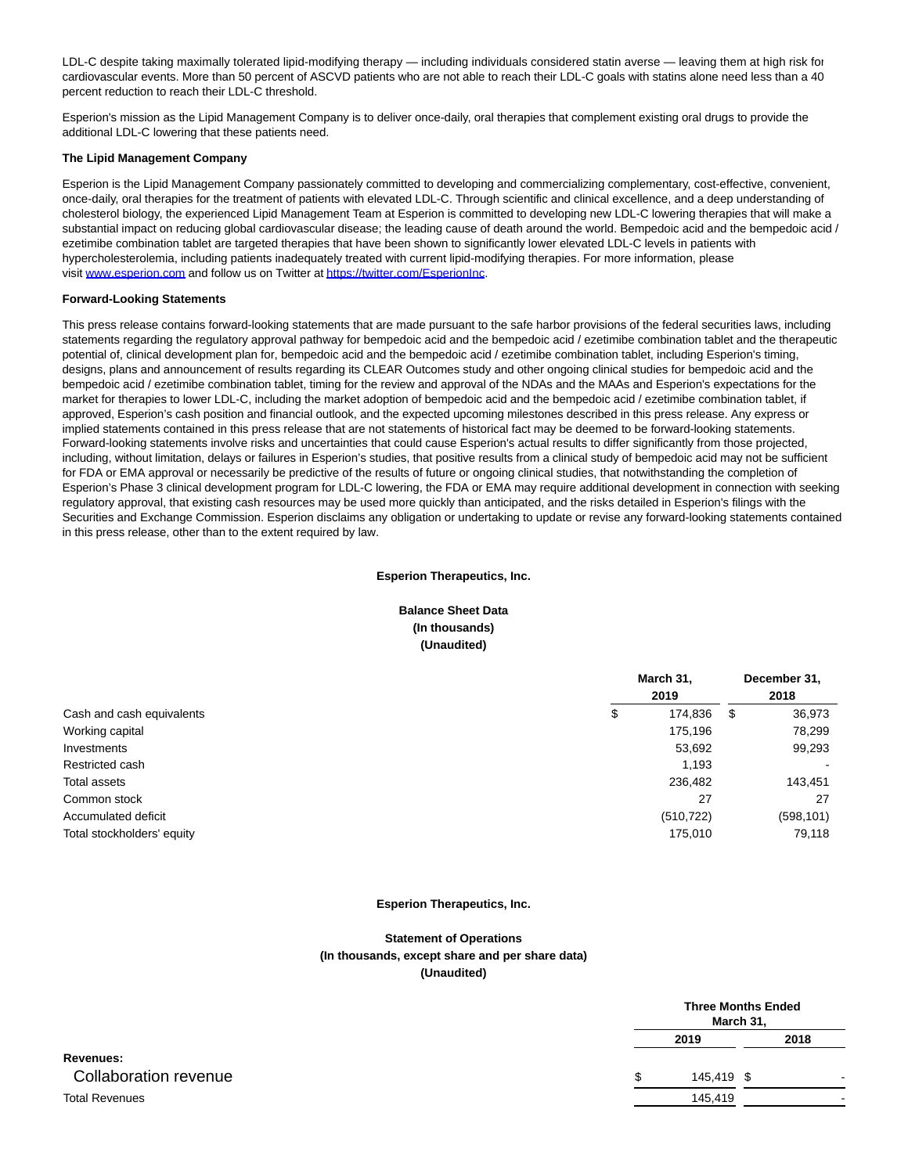LDL-C despite taking maximally tolerated lipid-modifying therapy — including individuals considered statin averse — leaving them at high risk for cardiovascular events. More than 50 percent of ASCVD patients who are not able to reach their LDL-C goals with statins alone need less than a 40 percent reduction to reach their LDL-C threshold.

Esperion's mission as the Lipid Management Company is to deliver once-daily, oral therapies that complement existing oral drugs to provide the additional LDL-C lowering that these patients need.

#### **The Lipid Management Company**

Esperion is the Lipid Management Company passionately committed to developing and commercializing complementary, cost-effective, convenient, once-daily, oral therapies for the treatment of patients with elevated LDL-C. Through scientific and clinical excellence, and a deep understanding of cholesterol biology, the experienced Lipid Management Team at Esperion is committed to developing new LDL-C lowering therapies that will make a substantial impact on reducing global cardiovascular disease; the leading cause of death around the world. Bempedoic acid and the bempedoic acid / ezetimibe combination tablet are targeted therapies that have been shown to significantly lower elevated LDL-C levels in patients with hypercholesterolemia, including patients inadequately treated with current lipid-modifying therapies. For more information, please visit [www.esperion.com a](https://www.globenewswire.com/Tracker?data=B1sJl3AmB-zLECqg8wzYYLVkrRz-9_LKgjYJfbPp6DaRkohPtU_V0y_bVE-S-WEgB4ZM9c7n2pBLBgmr5dSxH2dvt8_cXYPeW4gP9rvsYuI8Vlc6TpKeYIG6VRVM8bQf4Gkht1RYJ50TtpDA4sBO7UXoOx5fj_atKY0XyIAiK7OuO5Gt3821tUN6i7YI5yA6l1okRHuxNC5ZpTDbiye7oVC7_WdAdszcuzyPgZWbrWI=)nd follow us on Twitter a[t https://twitter.com/EsperionInc.](https://www.globenewswire.com/Tracker?data=zW1GUN6ik6rRjNu_iFeNnZbP4KOL_1O1UgjMRSXZPouPM1XaBTOwucUz5ycFnpmY_kuzOF1bzOnGTdi7gTuRObBzxLh5aBXNVEogD1VVSghsLnMk7EpNrwPykn0vY2emHQxh-jfDb1YfooyPtHMI0Xlunp4n4CXzSOFkYqG8OaCFi_WPTXcN0XuA9Cx2sqm_JWlyyJqoiMCsW4TnWsKrzj_EqfE_iiPm8rGi4crn5YRWP1RJ8KSa6RQOSj_ZSHPeIyKyKCodDTUmJiWqXYlF-EApZLxdBJiukSOYAcrqHMNOwKVYwhwMkHb0Anp7eADaRh4gsr2O6hhxDntQ203qI6G52EdeNV0hthSVmER-hpiPIv1k2qda2A5QTfjSiidISAcAhyltaE9F6TqLv3KIPEJ3B7GMGDIBNDWHEH5XJFMtASLlVzd3NyuZRS1Nyx74D_5ytcnowRCh893XFRUoIvGH0SabmJhptKLV9pphBXOf4JUbk7b9K9iK9Dy7VtMZ2ZUlssg15iubXV67gl0KIZGVckyZYrR2ZUp6uzwDNBU5Ff3kuZBhr5ToFufPFQRd)

#### **Forward-Looking Statements**

This press release contains forward-looking statements that are made pursuant to the safe harbor provisions of the federal securities laws, including statements regarding the regulatory approval pathway for bempedoic acid and the bempedoic acid / ezetimibe combination tablet and the therapeutic potential of, clinical development plan for, bempedoic acid and the bempedoic acid / ezetimibe combination tablet, including Esperion's timing, designs, plans and announcement of results regarding its CLEAR Outcomes study and other ongoing clinical studies for bempedoic acid and the bempedoic acid / ezetimibe combination tablet, timing for the review and approval of the NDAs and the MAAs and Esperion's expectations for the market for therapies to lower LDL-C, including the market adoption of bempedoic acid and the bempedoic acid / ezetimibe combination tablet, if approved, Esperion's cash position and financial outlook, and the expected upcoming milestones described in this press release. Any express or implied statements contained in this press release that are not statements of historical fact may be deemed to be forward-looking statements. Forward-looking statements involve risks and uncertainties that could cause Esperion's actual results to differ significantly from those projected, including, without limitation, delays or failures in Esperion's studies, that positive results from a clinical study of bempedoic acid may not be sufficient for FDA or EMA approval or necessarily be predictive of the results of future or ongoing clinical studies, that notwithstanding the completion of Esperion's Phase 3 clinical development program for LDL-C lowering, the FDA or EMA may require additional development in connection with seeking regulatory approval, that existing cash resources may be used more quickly than anticipated, and the risks detailed in Esperion's filings with the Securities and Exchange Commission. Esperion disclaims any obligation or undertaking to update or revise any forward-looking statements contained in this press release, other than to the extent required by law.

#### **Esperion Therapeutics, Inc.**

# **Balance Sheet Data (In thousands) (Unaudited)**

|                            | March 31,<br>2019 |            | December 31,<br>2018 |            |
|----------------------------|-------------------|------------|----------------------|------------|
| Cash and cash equivalents  | \$                | 174,836    | -\$                  | 36,973     |
| Working capital            |                   | 175.196    |                      | 78,299     |
| Investments                |                   | 53,692     |                      | 99,293     |
| Restricted cash            |                   | 1,193      |                      |            |
| Total assets               |                   | 236,482    |                      | 143,451    |
| Common stock               |                   | 27         |                      | 27         |
| Accumulated deficit        |                   | (510, 722) |                      | (598, 101) |
| Total stockholders' equity |                   | 175,010    |                      | 79,118     |

### **Esperion Therapeutics, Inc.**

# **Statement of Operations (In thousands, except share and per share data) (Unaudited)**

|                       |     | <b>Three Months Ended</b><br>March 31, |  |      |
|-----------------------|-----|----------------------------------------|--|------|
|                       |     | 2019                                   |  | 2018 |
| Revenues:             |     |                                        |  |      |
| Collaboration revenue | \$. | 145,419 \$                             |  |      |
| <b>Total Revenues</b> |     | 145,419                                |  |      |
|                       |     |                                        |  |      |